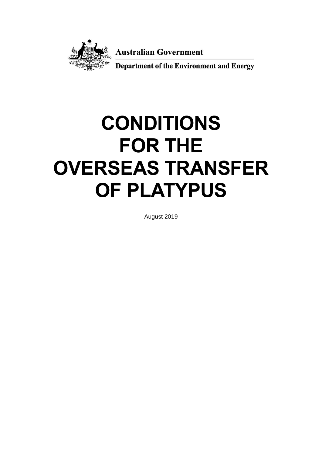

**Australian Government** 

**Department of the Environment and Energy** 

# **CONDITIONS FOR THE OVERSEAS TRANSFER OF PLATYPUS**

August 2019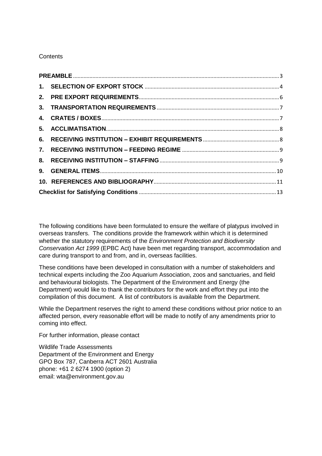## **Contents**

The following conditions have been formulated to ensure the welfare of platypus involved in overseas transfers. The conditions provide the framework within which it is determined whether the statutory requirements of the *Environment Protection and Biodiversity Conservation Act 1999* (EPBC Act) have been met regarding transport, accommodation and care during transport to and from, and in, overseas facilities.

These conditions have been developed in consultation with a number of stakeholders and technical experts including the Zoo Aquarium Association, zoos and sanctuaries, and field and behavioural biologists. The Department of the Environment and Energy (the Department) would like to thank the contributors for the work and effort they put into the compilation of this document. A list of contributors is available from the Department.

While the Department reserves the right to amend these conditions without prior notice to an affected person, every reasonable effort will be made to notify of any amendments prior to coming into effect.

For further information, please contact

Wildlife Trade Assessments Department of the Environment and Energy GPO Box 787, Canberra ACT 2601 Australia phone: +61 2 6274 1900 (option 2) email: wta@environment.gov.au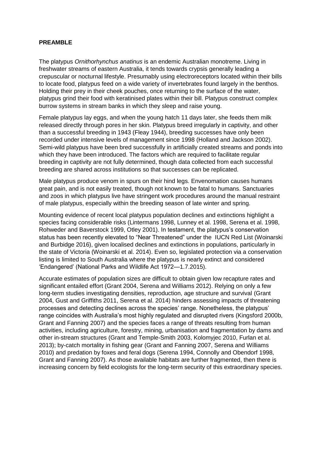#### <span id="page-2-0"></span>**PREAMBLE**

The platypus *Ornithorhynchus anatinus* is an endemic Australian monotreme. Living in freshwater streams of eastern Australia, it tends towards crypsis generally leading a crepuscular or nocturnal lifestyle. Presumably using electroreceptors located within their bills to locate food, platypus feed on a wide variety of invertebrates found largely in the benthos. Holding their prey in their cheek pouches, once returning to the surface of the water, platypus grind their food with keratinised plates within their bill. Platypus construct complex burrow systems in stream banks in which they sleep and raise young.

Female platypus lay eggs, and when the young hatch 11 days later, she feeds them milk released directly through pores in her skin. Platypus breed irregularly in captivity, and other than a successful breeding in 1943 (Fleay 1944), breeding successes have only been recorded under intensive levels of management since 1998 (Holland and Jackson 2002). Semi-wild platypus have been bred successfully in artificially created streams and ponds into which they have been introduced. The factors which are required to facilitate regular breeding in captivity are not fully determined, though data collected from each successful breeding are shared across institutions so that successes can be replicated.

Male platypus produce venom in spurs on their hind legs. Envenomation causes humans great pain, and is not easily treated, though not known to be fatal to humans. Sanctuaries and zoos in which platypus live have stringent work procedures around the manual restraint of male platypus, especially within the breeding season of late winter and spring.

Mounting evidence of recent local platypus population declines and extinctions highlight a species facing considerable risks (Lintermans 1998, Lunney et al. 1998, Serena et al. 1998, Rohweder and Baverstock 1999, Otley 2001). In testament, the platypus's conservation status has been recently elevated to "Near Threatened" under the IUCN Red List (Woinarski and Burbidge 2016), given localised declines and extinctions in populations, particularly in the state of Victoria (Woinarski et al. 2014). Even so, legislated protection via a conservation listing is limited to South Australia where the platypus is nearly extinct and considered 'Endangered' (National Parks and Wildlife Act 1972—1.7.2015).

Accurate estimates of population sizes are difficult to obtain given low recapture rates and significant entailed effort (Grant 2004, Serena and Williams 2012). Relying on only a few long-term studies investigating densities, reproduction, age structure and survival (Grant 2004, Gust and Griffiths 2011, Serena et al. 2014) hinders assessing impacts of threatening processes and detecting declines across the species' range. Nonetheless, the platypus' range coincides with Australia's most highly regulated and disrupted rivers (Kingsford 2000b, Grant and Fanning 2007) and the species faces a range of threats resulting from human activities, including agriculture, forestry, mining, urbanisation and fragmentation by dams and other in-stream structures (Grant and Temple-Smith 2003, Kolomyjec 2010, Furlan et al. 2013); by-catch mortality in fishing gear (Grant and Fanning 2007, Serena and Williams 2010) and predation by foxes and feral dogs (Serena 1994, Connolly and Obendorf 1998, Grant and Fanning 2007). As those available habitats are further fragmented, then there is increasing concern by field ecologists for the long-term security of this extraordinary species.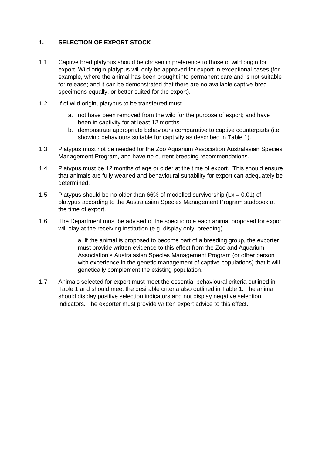## <span id="page-3-0"></span>**1. SELECTION OF EXPORT STOCK**

- 1.1 Captive bred platypus should be chosen in preference to those of wild origin for export. Wild origin platypus will only be approved for export in exceptional cases (for example, where the animal has been brought into permanent care and is not suitable for release; and it can be demonstrated that there are no available captive-bred specimens equally, or better suited for the export).
- 1.2 If of wild origin, platypus to be transferred must
	- a. not have been removed from the wild for the purpose of export; and have been in captivity for at least 12 months
	- b. demonstrate appropriate behaviours comparative to captive counterparts (i.e. showing behaviours suitable for captivity as described in Table 1).
- 1.3 Platypus must not be needed for the Zoo Aquarium Association Australasian Species Management Program, and have no current breeding recommendations.
- 1.4 Platypus must be 12 months of age or older at the time of export. This should ensure that animals are fully weaned and behavioural suitability for export can adequately be determined.
- 1.5 Platypus should be no older than 66% of modelled survivorship ( $Lx = 0.01$ ) of platypus according to the Australasian Species Management Program studbook at the time of export.
- 1.6 The Department must be advised of the specific role each animal proposed for export will play at the receiving institution (e.g. display only, breeding).

a. If the animal is proposed to become part of a breeding group, the exporter must provide written evidence to this effect from the Zoo and Aquarium Association's Australasian Species Management Program (or other person with experience in the genetic management of captive populations) that it will genetically complement the existing population.

1.7 Animals selected for export must meet the essential behavioural criteria outlined in Table 1 and should meet the desirable criteria also outlined in Table 1. The animal should display positive selection indicators and not display negative selection indicators. The exporter must provide written expert advice to this effect.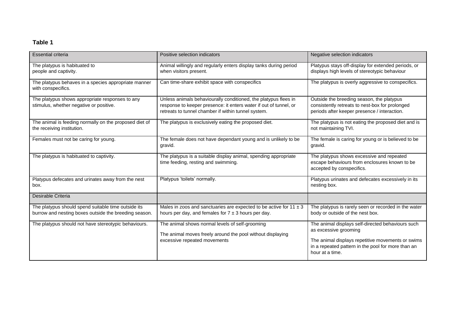## **Table 1**

| <b>Essential criteria</b>                                                                                    | Positive selection indicators                                                                                                                                                               | Negative selection indicators                                                                                                                                                                            |
|--------------------------------------------------------------------------------------------------------------|---------------------------------------------------------------------------------------------------------------------------------------------------------------------------------------------|----------------------------------------------------------------------------------------------------------------------------------------------------------------------------------------------------------|
| The platypus is habituated to<br>people and captivity.                                                       | Animal willingly and regularly enters display tanks during period<br>when visitors present.                                                                                                 | Platypus stays off-display for extended periods, or<br>displays high levels of stereotypic behaviour                                                                                                     |
| The platypus behaves in a species appropriate manner<br>with conspecifics.                                   | Can time-share exhibit space with conspecifics                                                                                                                                              | The platypus is overly aggressive to conspecifics.                                                                                                                                                       |
| The platypus shows appropriate responses to any<br>stimulus, whether negative or positive.                   | Unless animals behaviourally conditioned, the platypus flees in<br>response to keeper presence: it enters water if out of tunnel, or<br>retreats to tunnel chamber if within tunnel system. | Outside the breeding season, the platypus<br>consistently retreats to nest-box for prolonged<br>periods after keeper presence / interaction.                                                             |
| The animal is feeding normally on the proposed diet of<br>the receiving institution.                         | The platypus is exclusively eating the proposed diet.                                                                                                                                       | The platypus is not eating the proposed diet and is<br>not maintaining TVI.                                                                                                                              |
| Females must not be caring for young.                                                                        | The female does not have dependant young and is unlikely to be<br>gravid.                                                                                                                   | The female is caring for young or is believed to be<br>gravid.                                                                                                                                           |
| The platypus is habituated to captivity.                                                                     | The platypus is a suitable display animal, spending appropriate<br>time feeding, resting and swimming.                                                                                      | The platypus shows excessive and repeated<br>escape behaviours from enclosures known to be<br>accepted by conspecifics.                                                                                  |
| Platypus defecates and urinates away from the nest<br>box.                                                   | Platypus 'toilets' normally.                                                                                                                                                                | Platypus urinates and defecates excessively in its<br>nesting box.                                                                                                                                       |
| Desirable Criteria                                                                                           |                                                                                                                                                                                             |                                                                                                                                                                                                          |
| The platypus should spend suitable time outside its<br>burrow and nesting boxes outside the breeding season. | Males in zoos and sanctuaries are expected to be active for 11 $\pm$ 3<br>hours per day, and females for $7 \pm 3$ hours per day.                                                           | The platypus is rarely seen or recorded in the water<br>body or outside of the nest box.                                                                                                                 |
| The platypus should not have stereotypic behaviours.                                                         | The animal shows normal levels of self-grooming<br>The animal moves freely around the pool without displaying<br>excessive repeated movements                                               | The animal displays self-directed behaviours such<br>as excessive grooming<br>The animal displays repetitive movements or swims<br>in a repeated pattern in the pool for more than an<br>hour at a time. |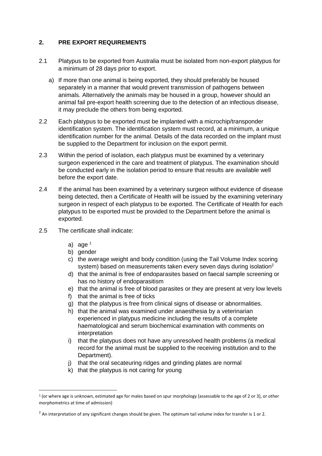## <span id="page-5-0"></span>**2. PRE EXPORT REQUIREMENTS**

- 2.1 Platypus to be exported from Australia must be isolated from non-export platypus for a minimum of 28 days prior to export.
	- a) If more than one animal is being exported, they should preferably be housed separately in a manner that would prevent transmission of pathogens between animals. Alternatively the animals may be housed in a group, however should an animal fail pre-export health screening due to the detection of an infectious disease, it may preclude the others from being exported.
- 2.2 Each platypus to be exported must be implanted with a microchip/transponder identification system. The identification system must record, at a minimum, a unique identification number for the animal. Details of the data recorded on the implant must be supplied to the Department for inclusion on the export permit.
- 2.3 Within the period of isolation, each platypus must be examined by a veterinary surgeon experienced in the care and treatment of platypus. The examination should be conducted early in the isolation period to ensure that results are available well before the export date.
- 2.4 If the animal has been examined by a veterinary surgeon without evidence of disease being detected, then a Certificate of Health will be issued by the examining veterinary surgeon in respect of each platypus to be exported. The Certificate of Health for each platypus to be exported must be provided to the Department before the animal is exported.
- 2.5 The certificate shall indicate:
	- a) age  $1$

1

- b) gender
- c) the average weight and body condition (using the Tail Volume Index scoring system) based on measurements taken every seven days during isolation $2$
- d) that the animal is free of endoparasites based on faecal sample screening or has no history of endoparasitism
- e) that the animal is free of blood parasites or they are present at very low levels
- f) that the animal is free of ticks
- g) that the platypus is free from clinical signs of disease or abnormalities.
- h) that the animal was examined under anaesthesia by a veterinarian experienced in platypus medicine including the results of a complete haematological and serum biochemical examination with comments on interpretation
- i) that the platypus does not have any unresolved health problems (a medical record for the animal must be supplied to the receiving institution and to the Department).
- j) that the oral secateuring ridges and grinding plates are normal
- k) that the platypus is not caring for young

<sup>1</sup> (or where age is unknown, estimated age for males based on spur morphology [assessable to the age of 2 or 3], or other morphometrics at time of admission)

 $<sup>2</sup>$  An interpretation of any significant changes should be given. The optimum tail volume index for transfer is 1 or 2.</sup>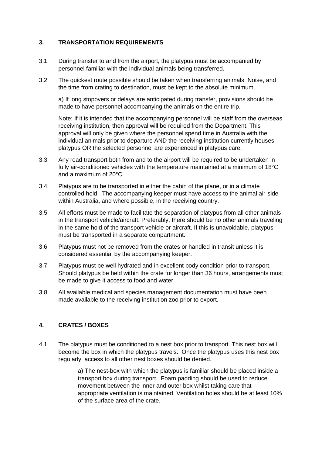## <span id="page-6-0"></span>**3. TRANSPORTATION REQUIREMENTS**

- 3.1 During transfer to and from the airport, the platypus must be accompanied by personnel familiar with the individual animals being transferred.
- 3.2 The quickest route possible should be taken when transferring animals. Noise, and the time from crating to destination, must be kept to the absolute minimum.

a) If long stopovers or delays are anticipated during transfer, provisions should be made to have personnel accompanying the animals on the entire trip.

Note: If it is intended that the accompanying personnel will be staff from the overseas receiving institution, then approval will be required from the Department. This approval will only be given where the personnel spend time in Australia with the individual animals prior to departure AND the receiving institution currently houses platypus OR the selected personnel are experienced in platypus care.

- 3.3 Any road transport both from and to the airport will be required to be undertaken in fully air-conditioned vehicles with the temperature maintained at a minimum of 18°C and a maximum of 20°C.
- 3.4 Platypus are to be transported in either the cabin of the plane, or in a climate controlled hold. The accompanying keeper must have access to the animal air-side within Australia, and where possible, in the receiving country.
- 3.5 All efforts must be made to facilitate the separation of platypus from all other animals in the transport vehicle/aircraft. Preferably, there should be no other animals traveling in the same hold of the transport vehicle or aircraft. If this is unavoidable, platypus must be transported in a separate compartment.
- 3.6 Platypus must not be removed from the crates or handled in transit unless it is considered essential by the accompanying keeper.
- 3.7 Platypus must be well hydrated and in excellent body condition prior to transport. Should platypus be held within the crate for longer than 36 hours, arrangements must be made to give it access to food and water.
- 3.8 All available medical and species management documentation must have been made available to the receiving institution zoo prior to export.

#### <span id="page-6-1"></span>**4. CRATES / BOXES**

4.1 The platypus must be conditioned to a nest box prior to transport. This nest box will become the box in which the platypus travels. Once the platypus uses this nest box regularly, access to all other nest boxes should be denied.

> a) The nest-box with which the platypus is familiar should be placed inside a transport box during transport. Foam padding should be used to reduce movement between the inner and outer box whilst taking care that appropriate ventilation is maintained. Ventilation holes should be at least 10% of the surface area of the crate.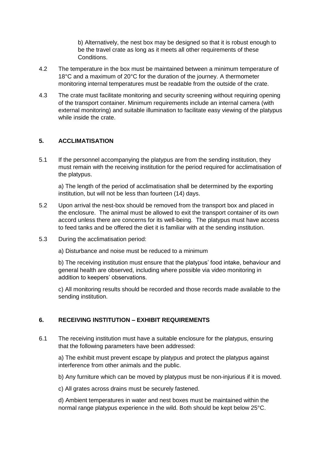b) Alternatively, the nest box may be designed so that it is robust enough to be the travel crate as long as it meets all other requirements of these Conditions.

- 4.2 The temperature in the box must be maintained between a minimum temperature of 18°C and a maximum of 20°C for the duration of the journey. A thermometer monitoring internal temperatures must be readable from the outside of the crate.
- 4.3 The crate must facilitate monitoring and security screening without requiring opening of the transport container. Minimum requirements include an internal camera (with external monitoring) and suitable illumination to facilitate easy viewing of the platypus while inside the crate.

## <span id="page-7-0"></span>**5. ACCLIMATISATION**

5.1 If the personnel accompanying the platypus are from the sending institution, they must remain with the receiving institution for the period required for acclimatisation of the platypus.

a) The length of the period of acclimatisation shall be determined by the exporting institution, but will not be less than fourteen (14) days.

- 5.2 Upon arrival the nest-box should be removed from the transport box and placed in the enclosure. The animal must be allowed to exit the transport container of its own accord unless there are concerns for its well-being. The platypus must have access to feed tanks and be offered the diet it is familiar with at the sending institution.
- 5.3 During the acclimatisation period:

a) Disturbance and noise must be reduced to a minimum

b) The receiving institution must ensure that the platypus' food intake, behaviour and general health are observed, including where possible via video monitoring in addition to keepers' observations.

c) All monitoring results should be recorded and those records made available to the sending institution.

## <span id="page-7-1"></span>**6. RECEIVING INSTITUTION – EXHIBIT REQUIREMENTS**

6.1 The receiving institution must have a suitable enclosure for the platypus, ensuring that the following parameters have been addressed:

a) The exhibit must prevent escape by platypus and protect the platypus against interference from other animals and the public.

b) Any furniture which can be moved by platypus must be non-injurious if it is moved.

c) All grates across drains must be securely fastened.

d) Ambient temperatures in water and nest boxes must be maintained within the normal range platypus experience in the wild. Both should be kept below 25°C.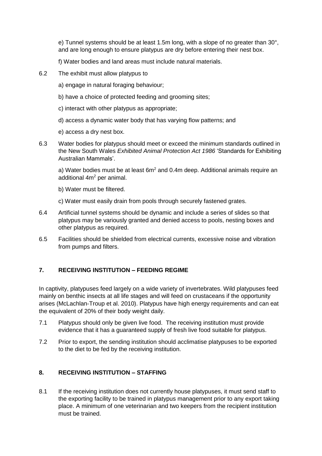e) Tunnel systems should be at least 1.5m long, with a slope of no greater than 30°, and are long enough to ensure platypus are dry before entering their nest box.

f) Water bodies and land areas must include natural materials.

- 6.2 The exhibit must allow platypus to
	- a) engage in natural foraging behaviour;
	- b) have a choice of protected feeding and grooming sites;
	- c) interact with other platypus as appropriate;
	- d) access a dynamic water body that has varying flow patterns; and
	- e) access a dry nest box.
- 6.3 Water bodies for platypus should meet or exceed the minimum standards outlined in the New South Wales *Exhibited Animal Protection Act 1986* 'Standards for Exhibiting Australian Mammals'.

a) Water bodies must be at least 6m<sup>2</sup> and 0.4m deep. Additional animals require an additional 4m<sup>2</sup> per animal.

b) Water must be filtered.

c) Water must easily drain from pools through securely fastened grates.

- 6.4 Artificial tunnel systems should be dynamic and include a series of slides so that platypus may be variously granted and denied access to pools, nesting boxes and other platypus as required.
- 6.5 Facilities should be shielded from electrical currents, excessive noise and vibration from pumps and filters.

## <span id="page-8-0"></span>**7. RECEIVING INSTITUTION – FEEDING REGIME**

In captivity, platypuses feed largely on a wide variety of invertebrates. Wild platypuses feed mainly on benthic insects at all life stages and will feed on crustaceans if the opportunity arises (McLachlan‐Troup et al. 2010). Platypus have high energy requirements and can eat the equivalent of 20% of their body weight daily.

- 7.1 Platypus should only be given live food. The receiving institution must provide evidence that it has a guaranteed supply of fresh live food suitable for platypus.
- 7.2 Prior to export, the sending institution should acclimatise platypuses to be exported to the diet to be fed by the receiving institution.

## <span id="page-8-1"></span>**8. RECEIVING INSTITUTION – STAFFING**

8.1 If the receiving institution does not currently house platypuses, it must send staff to the exporting facility to be trained in platypus management prior to any export taking place. A minimum of one veterinarian and two keepers from the recipient institution must be trained.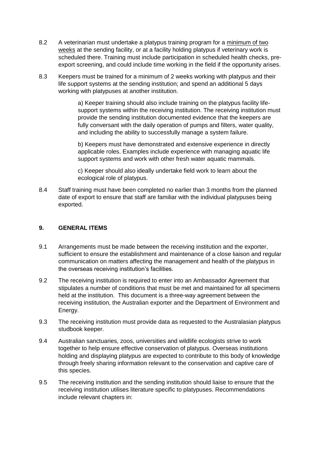- 8.2 A veterinarian must undertake a platypus training program for a minimum of two weeks at the sending facility, or at a facility holding platypus if veterinary work is scheduled there. Training must include participation in scheduled health checks, preexport screening, and could include time working in the field if the opportunity arises.
- 8.3 Keepers must be trained for a minimum of 2 weeks working with platypus and their life support systems at the sending institution; and spend an additional 5 days working with platypuses at another institution.

a) Keeper training should also include training on the platypus facility lifesupport systems within the receiving institution. The receiving institution must provide the sending institution documented evidence that the keepers are fully conversant with the daily operation of pumps and filters, water quality, and including the ability to successfully manage a system failure.

b) Keepers must have demonstrated and extensive experience in directly applicable roles. Examples include experience with managing aquatic life support systems and work with other fresh water aquatic mammals.

c) Keeper should also ideally undertake field work to learn about the ecological role of platypus.

8.4 Staff training must have been completed no earlier than 3 months from the planned date of export to ensure that staff are familiar with the individual platypuses being exported.

## <span id="page-9-0"></span>**9. GENERAL ITEMS**

- 9.1 Arrangements must be made between the receiving institution and the exporter, sufficient to ensure the establishment and maintenance of a close liaison and regular communication on matters affecting the management and health of the platypus in the overseas receiving institution's facilities.
- 9.2 The receiving institution is required to enter into an Ambassador Agreement that stipulates a number of conditions that must be met and maintained for all specimens held at the institution. This document is a three-way agreement between the receiving institution, the Australian exporter and the Department of Environment and Energy.
- 9.3 The receiving institution must provide data as requested to the Australasian platypus studbook keeper.
- 9.4 Australian sanctuaries, zoos, universities and wildlife ecologists strive to work together to help ensure effective conservation of platypus. Overseas institutions holding and displaying platypus are expected to contribute to this body of knowledge through freely sharing information relevant to the conservation and captive care of this species.
- 9.5 The receiving institution and the sending institution should liaise to ensure that the receiving institution utilises literature specific to platypuses. Recommendations include relevant chapters in: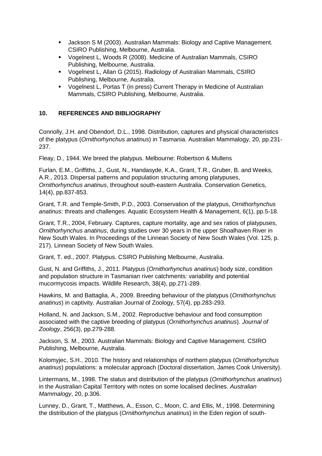- Jackson S M (2003). Australian Mammals: Biology and Captive Management. CSIRO Publishing, Melbourne, Australia.
- Vogelnest L, Woods R (2008). Medicine of Australian Mammals, CSIRO Publishing, Melbourne, Australia.
- Vogelnest L, Allan G (2015). Radiology of Australian Mammals, CSIRO Publishing, Melbourne, Australia.
- Vogelnest L, Portas T (in press) Current Therapy in Medicine of Australian Mammals, CSIRO Publishing, Melbourne, Australia.

## <span id="page-10-0"></span>**10. REFERENCES AND BIBLIOGRAPHY**

Connolly, J.H. and Obendorf, D.L., 1998. Distribution, captures and physical characteristics of the platypus (*Ornithorhynchus anatinus*) in Tasmania. Australian Mammalogy, 20, pp.231- 237.

Fleay, D., 1944. We breed the platypus. Melbourne: Robertson & Mullens

Furlan, E.M., Griffiths, J., Gust, N., Handasyde, K.A., Grant, T.R., Gruber, B. and Weeks, A.R., 2013. Dispersal patterns and population structuring among platypuses, *Ornithorhynchus anatinus*, throughout south-eastern Australia. Conservation Genetics, 14(4), pp.837-853.

Grant, T.R. and Temple-Smith, P.D., 2003. Conservation of the platypus, *Ornithorhynchus anatinus*: threats and challenges. Aquatic Ecosystem Health & Management, 6(1), pp.5-18.

Grant, T.R., 2004, February. Captures, capture mortality, age and sex ratios of platypuses, *Ornithorhynchus anatinus*, during studies over 30 years in the upper Shoalhaven River in New South Wales. In Proceedings of the Linnean Society of New South Wales (Vol. 125, p. 217). Linnean Society of New South Wales.

Grant, T. ed., 2007. Platypus. CSIRO Publishing Melbourne, Australia.

Gust, N. and Griffiths, J., 2011. Platypus (*Ornithorhynchus anatinus*) body size, condition and population structure in Tasmanian river catchments: variability and potential mucormycosis impacts. Wildlife Research, 38(4), pp.271-289.

Hawkins, M. and Battaglia, A., 2009. Breeding behaviour of the platypus (*Ornithorhynchus anatinus*) in captivity. Australian Journal of Zoology, 57(4), pp.283-293.

Holland, N. and Jackson, S.M., 2002. Reproductive behaviour and food consumption associated with the captive breeding of platypus (*Ornithorhynchus anatinus*). *Journal of Zoology*, 256(3), pp.279-288.

Jackson, S. M., 2003. Australian Mammals: Biology and Captive Management. CSIRO Publishing, Melbourne, Australia.

Kolomyjec, S.H., 2010. The history and relationships of northern platypus (*Ornithorhynchus anatinus*) populations: a molecular approach (Doctoral dissertation, James Cook University).

Lintermans, M., 1998. The status and distribution of the platypus (*Ornithorhynchus anatinus*) in the Australian Capital Territory with notes on some localised declines. *Australian Mammalogy*, 20, p.306.

Lunney, D., Grant, T., Matthews, A., Esson, C., Moon, C. and Ellis, M., 1998. Determining the distribution of the platypus (*Ornithorhynchus anatinus*) in the Eden region of south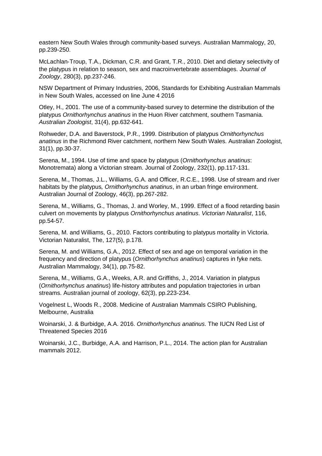eastern New South Wales through community-based surveys. Australian Mammalogy, 20, pp.239-250.

McLachlan‐Troup, T.A., Dickman, C.R. and Grant, T.R., 2010. Diet and dietary selectivity of the platypus in relation to season, sex and macroinvertebrate assemblages. *Journal of Zoology*, 280(3), pp.237-246.

NSW Department of Primary Industries, 2006, Standards for Exhibiting Australian Mammals in New South Wales, accessed on line June 4 2016

Otley, H., 2001. The use of a community-based survey to determine the distribution of the platypus *Ornithorhynchus anatinus* in the Huon River catchment, southern Tasmania. *Australian Zoologist*, 31(4), pp.632-641.

Rohweder, D.A. and Baverstock, P.R., 1999. Distribution of platypus *Ornithorhynchus anatinus* in the Richmond River catchment, northern New South Wales. Australian Zoologist, 31(1), pp.30-37.

Serena, M., 1994. Use of time and space by platypus (*Ornithorhynchus anatinus*: Monotremata) along a Victorian stream. Journal of Zoology, 232(1), pp.117-131.

Serena, M., Thomas, J.L., Williams, G.A. and Officer, R.C.E., 1998. Use of stream and river habitats by the platypus*, Ornithorhynchus anatinus*, in an urban fringe environment. Australian Journal of Zoology, 46(3), pp.267-282.

Serena, M., Williams, G., Thomas, J. and Worley, M., 1999. Effect of a flood retarding basin culvert on movements by platypus *Ornithorhynchus anatinus*. *Victorian Naturalist*, 116, pp.54-57.

Serena, M. and Williams, G., 2010. Factors contributing to platypus mortality in Victoria. Victorian Naturalist, The, 127(5), p.178.

Serena, M. and Williams, G.A., 2012. Effect of sex and age on temporal variation in the frequency and direction of platypus (*Ornithorhynchus anatinus*) captures in fyke nets. Australian Mammalogy, 34(1), pp.75-82.

Serena, M., Williams, G.A., Weeks, A.R. and Griffiths, J., 2014. Variation in platypus (*Ornithorhynchus anatinus*) life-history attributes and population trajectories in urban streams. Australian journal of zoology, 62(3), pp.223-234.

Vogelnest L, Woods R., 2008. Medicine of Australian Mammals CSIRO Publishing, Melbourne, Australia

Woinarski, J. & Burbidge, A.A. 2016. *Ornithorhynchus anatinus*. The IUCN Red List of Threatened Species 2016

Woinarski, J.C., Burbidge, A.A. and Harrison, P.L., 2014. The action plan for Australian mammals 2012.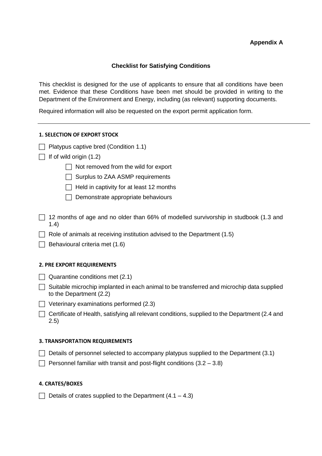#### **Appendix A**

#### **Checklist for Satisfying Conditions**

<span id="page-12-0"></span>This checklist is designed for the use of applicants to ensure that all conditions have been met. Evidence that these Conditions have been met should be provided in writing to the Department of the Environment and Energy, including (as relevant) supporting documents.

Required information will also be requested on the export permit application form.

#### **1. SELECTION OF EXPORT STOCK**

- $\Box$  Platypus captive bred (Condition 1.1)
- $\Box$  If of wild origin (1.2)
	- $\Box$  Not removed from the wild for export
	- $\Box$  Surplus to ZAA ASMP requirements
	- $\Box$  Held in captivity for at least 12 months
	- $\Box$  Demonstrate appropriate behaviours
- $\Box$  12 months of age and no older than 66% of modelled survivorship in studbook (1.3 and 1.4)
- $\Box$  Role of animals at receiving institution advised to the Department (1.5)
- $\Box$  Behavioural criteria met (1.6)

#### **2. PRE EXPORT REQUIREMENTS**

- $\Box$  Quarantine conditions met (2.1)
- $\Box$  Suitable microchip implanted in each animal to be transferred and microchip data supplied to the Department (2.2)
- $\Box$  Veterinary examinations performed (2.3)
- $\Box$  Certificate of Health, satisfying all relevant conditions, supplied to the Department (2.4 and 2.5)

#### **3. TRANSPORTATION REQUIREMENTS**

- $\Box$  Details of personnel selected to accompany platypus supplied to the Department (3.1)
- $\Box$  Personnel familiar with transit and post-flight conditions (3.2 3.8)

#### **4. CRATES/BOXES**

 $\Box$  Details of crates supplied to the Department (4.1 – 4.3)